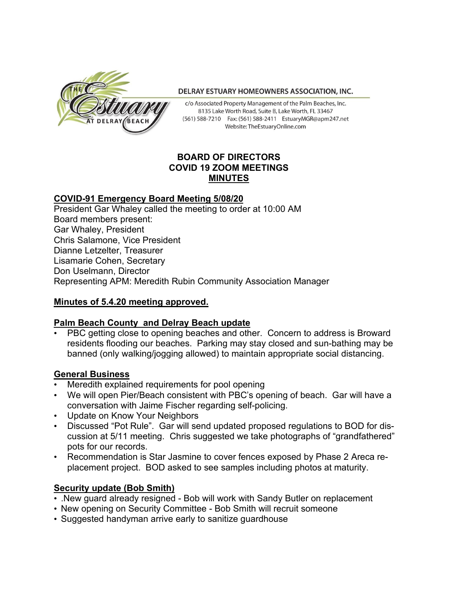

#### DELRAY ESTUARY HOMEOWNERS ASSOCIATION, INC.

c/o Associated Property Management of the Palm Beaches, Inc. 8135 Lake Worth Road, Suite B, Lake Worth, FL 33467 (561) 588-7210 Fax: (561) 588-2411 EstuaryMGR@apm247.net Website: TheEstuaryOnline.com

### **BOARD OF DIRECTORS COVID 19 ZOOM MEETINGS MINUTES**

### **COVID-91 Emergency Board Meeting 5/08/20**

President Gar Whaley called the meeting to order at 10:00 AM Board members present: Gar Whaley, President Chris Salamone, Vice President Dianne Letzelter, Treasurer Lisamarie Cohen, Secretary Don Uselmann, Director Representing APM: Meredith Rubin Community Association Manager

# **Minutes of 5.4.20 meeting approved.**

# **Palm Beach County and Delray Beach update**

• PBC getting close to opening beaches and other. Concern to address is Broward residents flooding our beaches. Parking may stay closed and sun-bathing may be banned (only walking/jogging allowed) to maintain appropriate social distancing.

#### **General Business**

- Meredith explained requirements for pool opening
- We will open Pier/Beach consistent with PBC's opening of beach. Gar will have a conversation with Jaime Fischer regarding self-policing.
- Update on Know Your Neighbors
- Discussed "Pot Rule". Gar will send updated proposed regulations to BOD for discussion at 5/11 meeting. Chris suggested we take photographs of "grandfathered" pots for our records.
- Recommendation is Star Jasmine to cover fences exposed by Phase 2 Areca replacement project. BOD asked to see samples including photos at maturity.

# **Security update (Bob Smith)**

- .New guard already resigned Bob will work with Sandy Butler on replacement
- New opening on Security Committee Bob Smith will recruit someone
- Suggested handyman arrive early to sanitize guardhouse